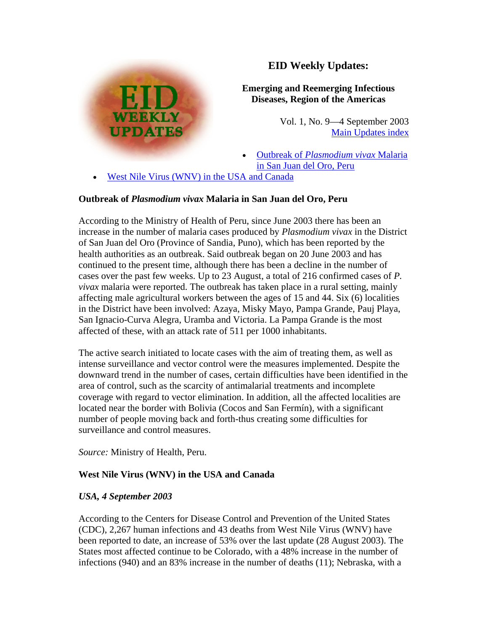

# **EID Weekly Updates:**

## **Emerging and Reemerging Infectious Diseases, Region of the Americas**

Vol. 1, No. 9—4 September 2003 [Main Updates index](http://www.paho.org/English/AD/DPC/CD/eid-eer-ew.htm)

- Outbreak of *[Plasmodium vivax](http://www.paho.org/English/AD/DPC/CD/eid-eer-04-sep-2003.htm#vivax#vivax)* Malaria [in San Juan del Oro, Peru](http://www.paho.org/English/AD/DPC/CD/eid-eer-04-sep-2003.htm#vivax#vivax)
- [West Nile Virus \(WNV\) in the USA and Canada](http://www.paho.org/English/AD/DPC/CD/eid-eer-04-sep-2003.htm#wnv#wnv)

### **Outbreak of** *Plasmodium vivax* **Malaria in San Juan del Oro, Peru**

According to the Ministry of Health of Peru, since June 2003 there has been an increase in the number of malaria cases produced by *Plasmodium vivax* in the District of San Juan del Oro (Province of Sandia, Puno), which has been reported by the health authorities as an outbreak. Said outbreak began on 20 June 2003 and has continued to the present time, although there has been a decline in the number of cases over the past few weeks. Up to 23 August, a total of 216 confirmed cases of *P. vivax* malaria were reported. The outbreak has taken place in a rural setting, mainly affecting male agricultural workers between the ages of 15 and 44. Six (6) localities in the District have been involved: Azaya, Misky Mayo, Pampa Grande, Pauj Playa, San Ignacio-Curva Alegra, Uramba and Victoria. La Pampa Grande is the most affected of these, with an attack rate of 511 per 1000 inhabitants.

The active search initiated to locate cases with the aim of treating them, as well as intense surveillance and vector control were the measures implemented. Despite the downward trend in the number of cases, certain difficulties have been identified in the area of control, such as the scarcity of antimalarial treatments and incomplete coverage with regard to vector elimination. In addition, all the affected localities are located near the border with Bolivia (Cocos and San Fermín), with a significant number of people moving back and forth-thus creating some difficulties for surveillance and control measures.

*Source:* Ministry of Health, Peru.

### **West Nile Virus (WNV) in the USA and Canada**

### *USA, 4 September 2003*

According to the Centers for Disease Control and Prevention of the United States (CDC), 2,267 human infections and 43 deaths from West Nile Virus (WNV) have been reported to date, an increase of 53% over the last update (28 August 2003). The States most affected continue to be Colorado, with a 48% increase in the number of infections (940) and an 83% increase in the number of deaths (11); Nebraska, with a